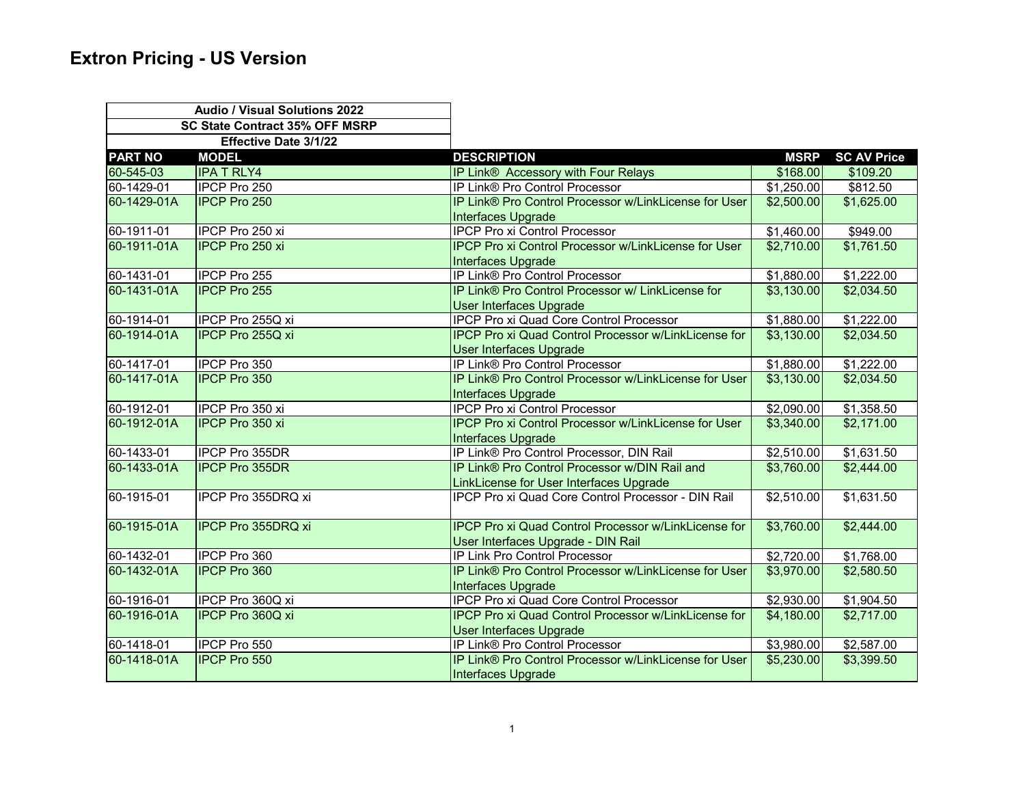|                                | <b>Audio / Visual Solutions 2022</b> |                                                             |             |                    |
|--------------------------------|--------------------------------------|-------------------------------------------------------------|-------------|--------------------|
| SC State Contract 35% OFF MSRP |                                      |                                                             |             |                    |
|                                | Effective Date 3/1/22                |                                                             |             |                    |
| <b>PART NO</b>                 | <b>MODEL</b>                         | <b>DESCRIPTION</b>                                          | <b>MSRP</b> | <b>SC AV Price</b> |
| 60-545-03                      | <b>IPA T RLY4</b>                    | IP Link® Accessory with Four Relays                         | \$168.00    | \$109.20           |
| 60-1429-01                     | IPCP Pro 250                         | IP Link® Pro Control Processor                              | \$1,250.00  | \$812.50           |
| 60-1429-01A                    | <b>IPCP Pro 250</b>                  | IP Link® Pro Control Processor w/LinkLicense for User       | \$2,500.00  | \$1,625.00         |
|                                |                                      | Interfaces Upgrade                                          |             |                    |
| 60-1911-01                     | IPCP Pro 250 xi                      | <b>IPCP Pro xi Control Processor</b>                        | \$1,460.00  | \$949.00           |
| 60-1911-01A                    | <b>IPCP Pro 250 xi</b>               | IPCP Pro xi Control Processor w/LinkLicense for User        | \$2,710.00  | \$1,761.50         |
|                                |                                      | <b>Interfaces Upgrade</b>                                   |             |                    |
| 60-1431-01                     | IPCP Pro 255                         | IP Link® Pro Control Processor                              | \$1,880.00  | \$1,222.00         |
| 60-1431-01A                    | <b>IPCP Pro 255</b>                  | IP Link® Pro Control Processor w/ LinkLicense for           | \$3,130.00  | \$2,034.50         |
|                                |                                      | User Interfaces Upgrade                                     |             |                    |
| 60-1914-01                     | IPCP Pro 255Q xi                     | IPCP Pro xi Quad Core Control Processor                     | \$1,880.00  | \$1,222.00         |
| 60-1914-01A                    | IPCP Pro 255Q xi                     | IPCP Pro xi Quad Control Processor w/LinkLicense for        | \$3,130.00  | \$2,034.50         |
|                                |                                      | <b>User Interfaces Upgrade</b>                              |             |                    |
| 60-1417-01                     | IPCP Pro 350                         | IP Link® Pro Control Processor                              | \$1,880.00  | \$1,222.00         |
| 60-1417-01A                    | <b>IPCP Pro 350</b>                  | IP Link® Pro Control Processor w/LinkLicense for User       | \$3,130.00  | \$2,034.50         |
|                                |                                      | Interfaces Upgrade                                          |             |                    |
| 60-1912-01                     | IPCP Pro 350 xi                      | <b>IPCP Pro xi Control Processor</b>                        | \$2,090.00  | \$1,358.50         |
| 60-1912-01A                    | <b>IPCP Pro 350 xi</b>               | IPCP Pro xi Control Processor w/LinkLicense for User        | \$3,340.00  | \$2,171.00         |
|                                |                                      | Interfaces Upgrade                                          |             |                    |
| 60-1433-01                     | IPCP Pro 355DR                       | IP Link® Pro Control Processor, DIN Rail                    | \$2,510.00  | \$1,631.50         |
| 60-1433-01A                    | <b>IPCP Pro 355DR</b>                | IP Link® Pro Control Processor w/DIN Rail and               | \$3,760.00  | \$2,444.00         |
|                                |                                      | LinkLicense for User Interfaces Upgrade                     |             |                    |
| 60-1915-01                     | IPCP Pro 355DRQ xi                   | IPCP Pro xi Quad Core Control Processor - DIN Rail          | \$2,510.00  | \$1,631.50         |
|                                |                                      |                                                             |             |                    |
| 60-1915-01A                    | <b>IPCP Pro 355DRQ xi</b>            | <b>IPCP Pro xi Quad Control Processor w/LinkLicense for</b> | \$3,760.00  | \$2,444.00         |
|                                |                                      | User Interfaces Upgrade - DIN Rail                          |             |                    |
| 60-1432-01                     | IPCP Pro 360                         | IP Link Pro Control Processor                               | \$2,720.00  | \$1,768.00         |
| 60-1432-01A                    | <b>IPCP Pro 360</b>                  | IP Link® Pro Control Processor w/LinkLicense for User       | \$3,970.00  | \$2,580.50         |
|                                |                                      | Interfaces Upgrade                                          |             |                    |
| 60-1916-01                     | IPCP Pro 360Q xi                     | IPCP Pro xi Quad Core Control Processor                     | \$2,930.00  | \$1,904.50         |
| 60-1916-01A                    | <b>IPCP Pro 360Q xi</b>              | IPCP Pro xi Quad Control Processor w/LinkLicense for        | \$4,180.00  | \$2,717.00         |
|                                |                                      | User Interfaces Upgrade                                     |             |                    |
| 60-1418-01                     | IPCP Pro 550                         | IP Link® Pro Control Processor                              | \$3,980.00  | \$2,587.00         |
| 60-1418-01A                    | <b>IPCP Pro 550</b>                  | IP Link® Pro Control Processor w/LinkLicense for User       | \$5,230.00  | \$3,399.50         |
|                                |                                      | <b>Interfaces Upgrade</b>                                   |             |                    |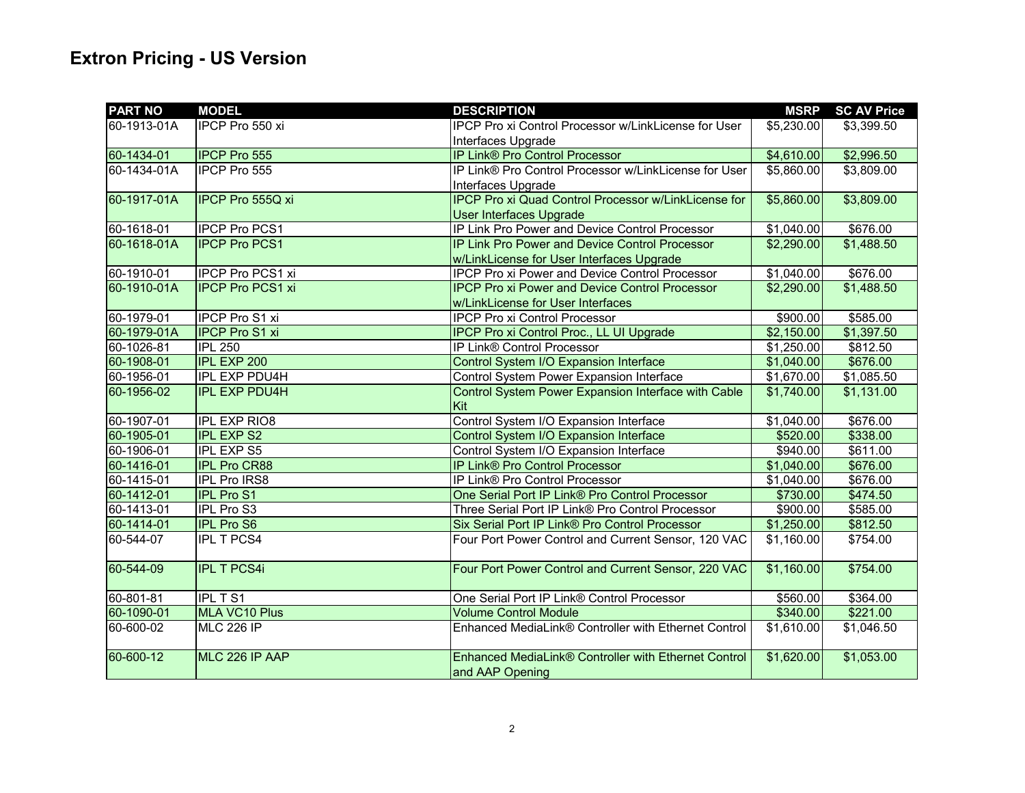| <b>PART NO</b> | <b>MODEL</b>            | <b>DESCRIPTION</b>                                          | <b>MSRP</b> | <b>SC AV Price</b> |
|----------------|-------------------------|-------------------------------------------------------------|-------------|--------------------|
| 60-1913-01A    | IPCP Pro 550 xi         | <b>IPCP Pro xi Control Processor w/LinkLicense for User</b> | \$5,230.00  | \$3,399.50         |
|                |                         | Interfaces Upgrade                                          |             |                    |
| 60-1434-01     | <b>IPCP Pro 555</b>     | <b>IP Link® Pro Control Processor</b>                       | \$4,610.00  | \$2,996.50         |
| 60-1434-01A    | <b>IPCP Pro 555</b>     | IP Link® Pro Control Processor w/LinkLicense for User       | \$5,860.00  | \$3,809.00         |
|                |                         | Interfaces Upgrade                                          |             |                    |
| 60-1917-01A    | <b>IPCP Pro 555Q xi</b> | <b>IPCP Pro xi Quad Control Processor w/LinkLicense for</b> | \$5,860.00  | \$3,809.00         |
|                |                         | <b>User Interfaces Upgrade</b>                              |             |                    |
| 60-1618-01     | <b>IPCP Pro PCS1</b>    | IP Link Pro Power and Device Control Processor              | \$1,040.00  | \$676.00           |
| 60-1618-01A    | <b>IPCP Pro PCS1</b>    | <b>IP Link Pro Power and Device Control Processor</b>       | \$2,290.00  | \$1,488.50         |
|                |                         | w/LinkLicense for User Interfaces Upgrade                   |             |                    |
| 60-1910-01     | IPCP Pro PCS1 xi        | IPCP Pro xi Power and Device Control Processor              | \$1,040.00  | \$676.00           |
| 60-1910-01A    | <b>IPCP Pro PCS1 xi</b> | <b>IPCP Pro xi Power and Device Control Processor</b>       | \$2,290.00  | \$1,488.50         |
|                |                         | w/LinkLicense for User Interfaces                           |             |                    |
| 60-1979-01     | IPCP Pro S1 xi          | <b>IPCP Pro xi Control Processor</b>                        | \$900.00    | \$585.00           |
| 60-1979-01A    | <b>IPCP Pro S1 xi</b>   | IPCP Pro xi Control Proc., LL UI Upgrade                    | \$2,150.00  | \$1,397.50         |
| 60-1026-81     | <b>IPL 250</b>          | IP Link® Control Processor                                  | \$1,250.00  | \$812.50           |
| 60-1908-01     | <b>IPL EXP 200</b>      | Control System I/O Expansion Interface                      | \$1,040.00  | \$676.00           |
| 60-1956-01     | <b>IPL EXP PDU4H</b>    | Control System Power Expansion Interface                    | \$1,670.00  | \$1,085.50         |
| 60-1956-02     | <b>IPL EXP PDU4H</b>    | Control System Power Expansion Interface with Cable         | \$1,740.00  | \$1,131.00         |
|                |                         | Kit                                                         |             |                    |
| 60-1907-01     | <b>IPL EXP RIO8</b>     | Control System I/O Expansion Interface                      | \$1,040.00  | \$676.00           |
| 60-1905-01     | <b>IPL EXP S2</b>       | Control System I/O Expansion Interface                      | \$520.00    | \$338.00           |
| 60-1906-01     | <b>IPL EXP S5</b>       | Control System I/O Expansion Interface                      | \$940.00    | \$611.00           |
| 60-1416-01     | <b>IPL Pro CR88</b>     | IP Link® Pro Control Processor                              | \$1,040.00  | \$676.00           |
| 60-1415-01     | IPL Pro IRS8            | IP Link® Pro Control Processor                              | \$1,040.00  | \$676.00           |
| 60-1412-01     | <b>IPL Pro S1</b>       | One Serial Port IP Link® Pro Control Processor              | \$730.00    | \$474.50           |
| 60-1413-01     | IPL Pro S3              | Three Serial Port IP Link® Pro Control Processor            | \$900.00    | \$585.00           |
| 60-1414-01     | <b>IPL Pro S6</b>       | <b>Six Serial Port IP Link® Pro Control Processor</b>       | \$1,250.00  | \$812.50           |
| 60-544-07      | <b>IPL T PCS4</b>       | Four Port Power Control and Current Sensor, 120 VAC         | \$1,160.00  | \$754.00           |
|                |                         |                                                             |             |                    |
| 60-544-09      | <b>IPL T PCS4i</b>      | Four Port Power Control and Current Sensor, 220 VAC         | \$1,160.00  | \$754.00           |
|                |                         |                                                             |             |                    |
| 60-801-81      | <b>IPL T S1</b>         | One Serial Port IP Link® Control Processor                  | \$560.00    | \$364.00           |
| 60-1090-01     | MLA VC10 Plus           | <b>Volume Control Module</b>                                | \$340.00    | \$221.00           |
| 60-600-02      | <b>MLC 226 IP</b>       | Enhanced MediaLink® Controller with Ethernet Control        | \$1,610.00  | \$1,046.50         |
|                |                         |                                                             |             |                    |
| 60-600-12      | MLC 226 IP AAP          | Enhanced MediaLink® Controller with Ethernet Control        | \$1,620.00  | \$1,053.00         |
|                |                         | and AAP Opening                                             |             |                    |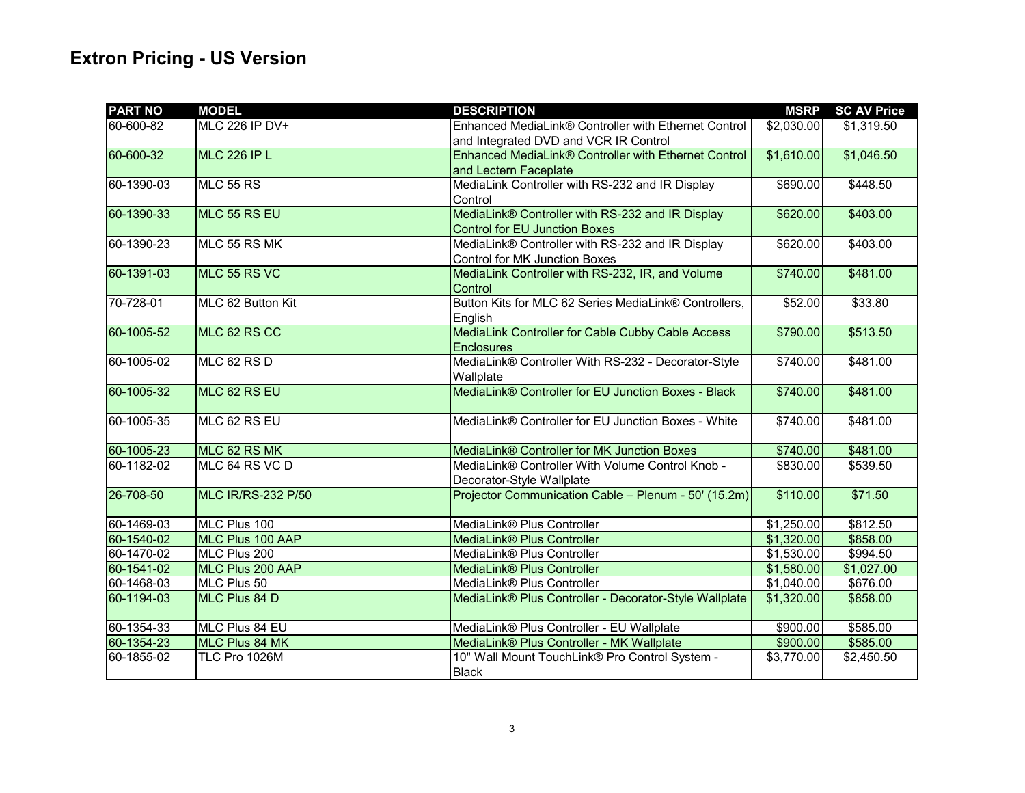| <b>PART NO</b> | <b>MODEL</b>              | <b>DESCRIPTION</b>                                     | <b>MSRP</b> | <b>SC AV Price</b> |
|----------------|---------------------------|--------------------------------------------------------|-------------|--------------------|
| 60-600-82      | <b>MLC 226 IP DV+</b>     | Enhanced MediaLink® Controller with Ethernet Control   | \$2,030.00  | \$1,319.50         |
|                |                           | and Integrated DVD and VCR IR Control                  |             |                    |
| 60-600-32      | <b>MLC 226 IP L</b>       | Enhanced MediaLink® Controller with Ethernet Control   | \$1,610.00  | \$1,046.50         |
|                |                           | and Lectern Faceplate                                  |             |                    |
| 60-1390-03     | <b>MLC 55 RS</b>          | MediaLink Controller with RS-232 and IR Display        | \$690.00    | \$448.50           |
|                |                           | Control                                                |             |                    |
| 60-1390-33     | MLC 55 RS EU              | MediaLink® Controller with RS-232 and IR Display       | \$620.00    | \$403.00           |
|                |                           | <b>Control for EU Junction Boxes</b>                   |             |                    |
| 60-1390-23     | MLC 55 RS MK              | MediaLink® Controller with RS-232 and IR Display       | \$620.00    | \$403.00           |
|                |                           | <b>Control for MK Junction Boxes</b>                   |             |                    |
| 60-1391-03     | MLC 55 RS VC              | MediaLink Controller with RS-232, IR, and Volume       | \$740.00    | \$481.00           |
|                |                           | Control                                                |             |                    |
| 70-728-01      | MLC 62 Button Kit         | Button Kits for MLC 62 Series MediaLink® Controllers,  | \$52.00     | \$33.80            |
|                |                           | English                                                |             |                    |
| 60-1005-52     | MLC 62 RS CC              | MediaLink Controller for Cable Cubby Cable Access      | \$790.00    | \$513.50           |
|                |                           | <b>Enclosures</b>                                      |             |                    |
| 60-1005-02     | MLC 62 RS D               | MediaLink® Controller With RS-232 - Decorator-Style    | \$740.00    | \$481.00           |
|                |                           | Wallplate                                              |             |                    |
| 60-1005-32     | MLC 62 RS EU              | MediaLink® Controller for EU Junction Boxes - Black    | \$740.00    | \$481.00           |
|                |                           |                                                        |             |                    |
| 60-1005-35     | MLC 62 RS EU              | MediaLink® Controller for EU Junction Boxes - White    | \$740.00    | \$481.00           |
|                |                           |                                                        |             |                    |
| 60-1005-23     | MLC 62 RS MK              | MediaLink® Controller for MK Junction Boxes            | \$740.00    | \$481.00           |
| 60-1182-02     | MLC 64 RS VC D            | MediaLink® Controller With Volume Control Knob -       | \$830.00    | \$539.50           |
|                |                           | Decorator-Style Wallplate                              |             |                    |
| 26-708-50      | <b>MLC IR/RS-232 P/50</b> | Projector Communication Cable - Plenum - 50' (15.2m)   | \$110.00    | \$71.50            |
| 60-1469-03     | MLC Plus 100              | MediaLink® Plus Controller                             | \$1,250.00  | \$812.50           |
| 60-1540-02     | MLC Plus 100 AAP          | MediaLink® Plus Controller                             | \$1,320.00  | \$858.00           |
| 60-1470-02     | MLC Plus 200              | MediaLink® Plus Controller                             | \$1,530.00  | \$994.50           |
| 60-1541-02     | MLC Plus 200 AAP          | <b>MediaLink® Plus Controller</b>                      | \$1,580.00  | \$1,027.00         |
| 60-1468-03     | MLC Plus 50               | MediaLink® Plus Controller                             | \$1,040.00  | \$676.00           |
| 60-1194-03     | MLC Plus 84 D             | MediaLink® Plus Controller - Decorator-Style Wallplate | \$1,320.00  | \$858.00           |
|                |                           |                                                        |             |                    |
| 60-1354-33     | MLC Plus 84 EU            | MediaLink® Plus Controller - EU Wallplate              | \$900.00    | \$585.00           |
| 60-1354-23     | <b>MLC Plus 84 MK</b>     | MediaLink® Plus Controller - MK Wallplate              | \$900.00    | \$585.00           |
| 60-1855-02     | TLC Pro 1026M             | 10" Wall Mount TouchLink® Pro Control System -         | \$3,770.00  | \$2,450.50         |
|                |                           | <b>Black</b>                                           |             |                    |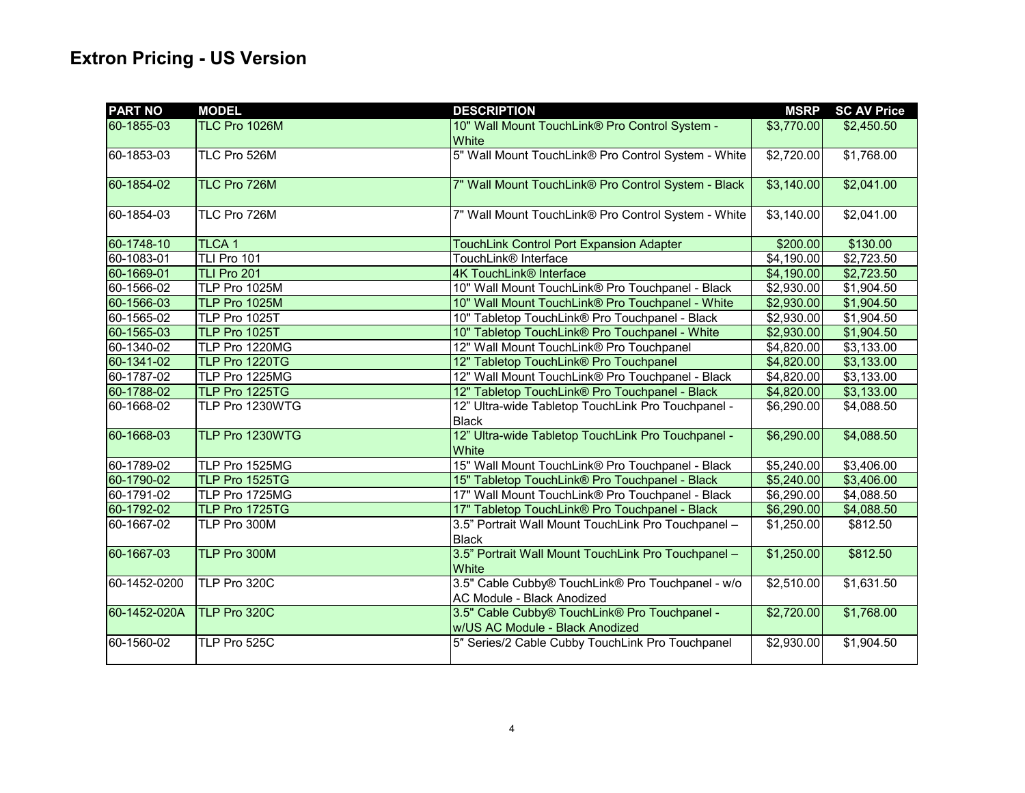| <b>PART NO</b> | <b>MODEL</b>      | <b>DESCRIPTION</b>                                                               | <b>MSRP</b>            | <b>SC AV Price</b> |
|----------------|-------------------|----------------------------------------------------------------------------------|------------------------|--------------------|
| 60-1855-03     | TLC Pro 1026M     | 10" Wall Mount TouchLink® Pro Control System -<br><b>White</b>                   | \$3,770.00             | \$2,450.50         |
| 60-1853-03     | TLC Pro 526M      | 5" Wall Mount TouchLink® Pro Control System - White                              | \$2,720.00             | \$1,768.00         |
| 60-1854-02     | TLC Pro 726M      | 7" Wall Mount TouchLink® Pro Control System - Black                              | \$3,140.00             | \$2,041.00         |
| 60-1854-03     | TLC Pro 726M      | 7" Wall Mount TouchLink® Pro Control System - White                              | $\overline{$3,140.00}$ | \$2,041.00         |
| 60-1748-10     | TLCA <sub>1</sub> | <b>TouchLink Control Port Expansion Adapter</b>                                  | \$200.00               | \$130.00           |
| 60-1083-01     | TLI Pro 101       | TouchLink® Interface                                                             | \$4,190.00             | \$2,723.50         |
| 60-1669-01     | TLI Pro 201       | <b>4K TouchLink® Interface</b>                                                   | \$4,190.00             | \$2,723.50         |
| 60-1566-02     | TLP Pro 1025M     | 10" Wall Mount TouchLink® Pro Touchpanel - Black                                 | \$2,930.00             | \$1,904.50         |
| 60-1566-03     | TLP Pro 1025M     | 10" Wall Mount TouchLink® Pro Touchpanel - White                                 | \$2,930.00             | \$1,904.50         |
| 60-1565-02     | TLP Pro 1025T     | 10" Tabletop TouchLink® Pro Touchpanel - Black                                   | \$2,930.00             | \$1,904.50         |
| 60-1565-03     | TLP Pro 1025T     | 10" Tabletop TouchLink® Pro Touchpanel - White                                   | \$2,930.00             | \$1,904.50         |
| 60-1340-02     | TLP Pro 1220MG    | 12" Wall Mount TouchLink® Pro Touchpanel                                         | \$4,820.00             | \$3,133.00         |
| 60-1341-02     | TLP Pro 1220TG    | 12" Tabletop TouchLink® Pro Touchpanel                                           | \$4,820.00             | \$3,133.00         |
| 60-1787-02     | TLP Pro 1225MG    | 12" Wall Mount TouchLink® Pro Touchpanel - Black                                 | \$4,820.00             | \$3,133.00         |
| 60-1788-02     | TLP Pro 1225TG    | 12" Tabletop TouchLink® Pro Touchpanel - Black                                   | \$4,820.00             | \$3,133.00         |
| 60-1668-02     | TLP Pro 1230WTG   | 12" Ultra-wide Tabletop TouchLink Pro Touchpanel -<br><b>Black</b>               | \$6,290.00             | \$4,088.50         |
| 60-1668-03     | TLP Pro 1230WTG   | 12" Ultra-wide Tabletop TouchLink Pro Touchpanel -<br>White                      | \$6,290.00             | \$4,088.50         |
| 60-1789-02     | TLP Pro 1525MG    | 15" Wall Mount TouchLink® Pro Touchpanel - Black                                 | \$5,240.00             | \$3,406.00         |
| 60-1790-02     | TLP Pro 1525TG    | 15" Tabletop TouchLink® Pro Touchpanel - Black                                   | \$5,240.00             | \$3,406.00         |
| 60-1791-02     | TLP Pro 1725MG    | 17" Wall Mount TouchLink® Pro Touchpanel - Black                                 | \$6,290.00             | \$4,088.50         |
| 60-1792-02     | TLP Pro 1725TG    | 17" Tabletop TouchLink® Pro Touchpanel - Black                                   | \$6,290.00             | \$4,088.50         |
| 60-1667-02     | TLP Pro 300M      | 3.5" Portrait Wall Mount TouchLink Pro Touchpanel -<br><b>Black</b>              | \$1,250.00             | \$812.50           |
| 60-1667-03     | TLP Pro 300M      | 3.5" Portrait Wall Mount TouchLink Pro Touchpanel -<br>White                     | \$1,250.00             | \$812.50           |
| 60-1452-0200   | TLP Pro 320C      | 3.5" Cable Cubby® TouchLink® Pro Touchpanel - w/o<br>AC Module - Black Anodized  | $\overline{$2,510.00}$ | \$1,631.50         |
| 60-1452-020A   | TLP Pro 320C      | 3.5" Cable Cubby® TouchLink® Pro Touchpanel -<br>w/US AC Module - Black Anodized | \$2,720.00             | \$1,768.00         |
| 60-1560-02     | TLP Pro 525C      | 5" Series/2 Cable Cubby TouchLink Pro Touchpanel                                 | $\overline{$2,930.00}$ | \$1,904.50         |